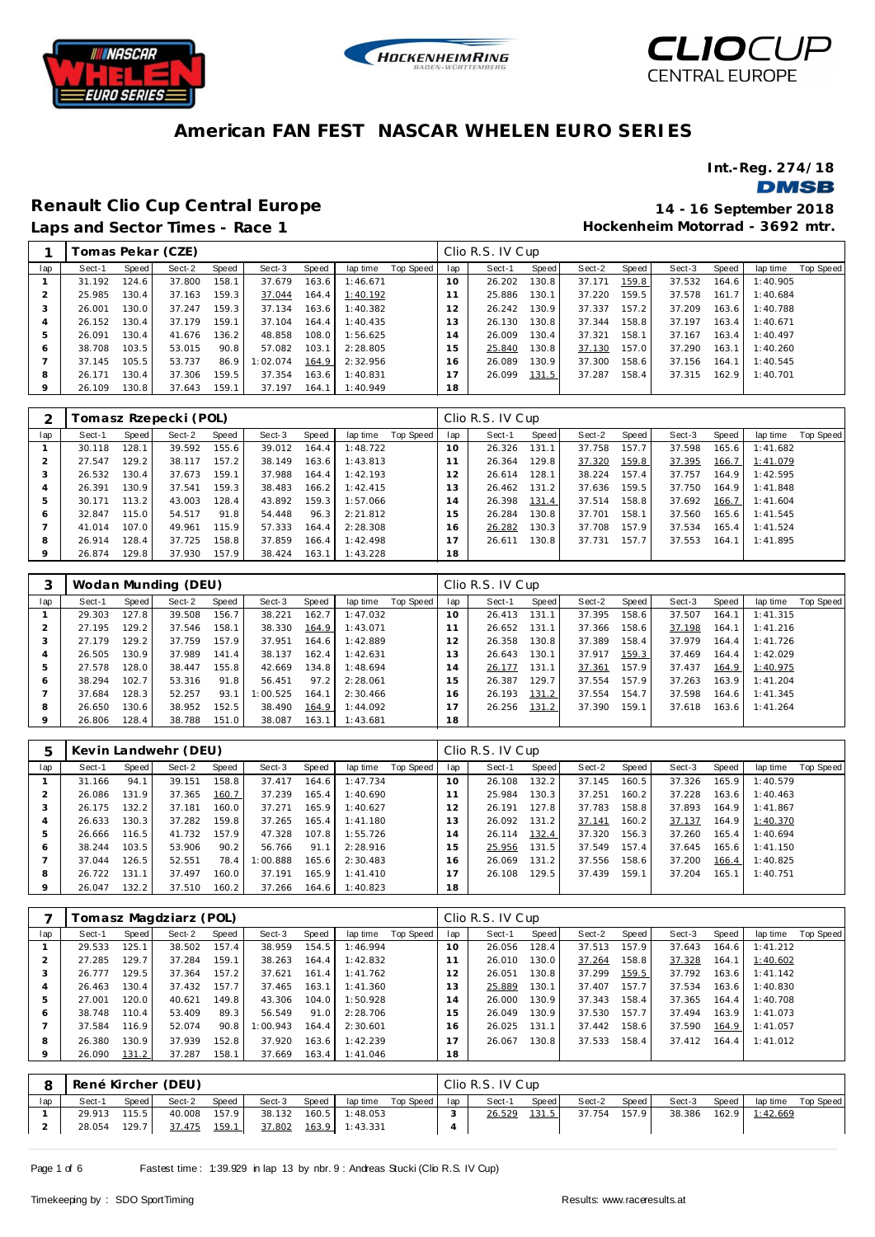





**Hockenheim Motorrad - 3692 mtr.**

#### **American FAN FEST NASCAR WHELEN EURO SERIES**

**Int.-Reg. 274/18**

**DMSB** 

### **Renault Clio Cup Central Europe 14 - 16 September 2018**

|     |        |       | Гоmas Pekar (СZE) |       |          |         |          |           |     | Clio R.S. IV Cup |       |        |       |        |       |          |           |
|-----|--------|-------|-------------------|-------|----------|---------|----------|-----------|-----|------------------|-------|--------|-------|--------|-------|----------|-----------|
| lap | Sect-1 | Speed | Sect-2            | Speed | Sect-3   | Speed   | lap time | Top Speed | lap | Sect-1           | Speed | Sect-2 | Speed | Sect-3 | Speed | lap time | Top Speed |
|     | 31.192 | 124.6 | 37.800            | 158.1 | 37.679   | 163.6   | 1:46.671 |           | 10  | 26.202           | 130.8 | 37.171 | 159.8 | 37.532 | 164.6 | 1:40.905 |           |
|     | 25.985 | 130.4 | 37.163            | 159.3 | 37.044   | 164.4   | 1:40.192 |           |     | 25.886           | 130.1 | 37.220 | 159.5 | 37.578 | 161.7 | 1:40.684 |           |
| 3   | 26.001 | 130.0 | 37.247            | 159.3 | 37.134   | 163.6   | 1:40.382 |           | 12  | 26.242           | 130.9 | 37.337 | 157.2 | 37.209 | 163.6 | 1:40.788 |           |
|     | 26.152 | 130.4 | 37.179            | 159.1 | 37.104   | 164.4   | 1:40.435 |           | 13  | 26.130           | 130.8 | 37.344 | 158.8 | 37.197 | 163.4 | 1:40.671 |           |
|     | 26.091 | 130.4 | 41.676            | 136.2 | 48.858   | 108.0   | 1:56.625 |           | 14  | 26.009           | 130.4 | 37.321 | 158.1 | 37.167 | 163.4 | 1:40.497 |           |
| 6   | 38.708 | 103.5 | 53.015            | 90.8  | 57.082   | 103.1   | 2:28.805 |           | 15  | 25.840           | 130.8 | 37.130 | 157.0 | 37.290 | 163.1 | 1:40.260 |           |
|     | 37.145 | 105.5 | 53.737            | 86.9  | 1:02.074 | 164.9   | 2:32.956 |           | 16  | 26.089           | 130.9 | 37.300 | 158.6 | 37.156 | 164.1 | 1:40.545 |           |
| 8   | 26.171 | 130.4 | 37.306            | 159.5 | 37.354   | $163.6$ | 1:40.831 |           |     | 26.099           | 131.5 | 37.287 | 158.4 | 37.315 | 162.9 | 1:40.701 |           |
|     | 26.109 | 130.8 | 37.643            | 159.1 | 37.197   | 164.1   | 1:40.949 |           | 18  |                  |       |        |       |        |       |          |           |

|              |        |         | Fomasz Rzepecki (POL) |       |        |       |          |           |          | Clio R.S. IV Cup |       |        |       |        |       |          |           |
|--------------|--------|---------|-----------------------|-------|--------|-------|----------|-----------|----------|------------------|-------|--------|-------|--------|-------|----------|-----------|
| lap          | Sect-1 | Speed I | Sect-2                | Speed | Sect-3 | Speed | lap time | Top Speed | lap      | Sect-1           | Speed | Sect-2 | Speed | Sect-3 | Speed | lap time | Top Speed |
|              | 30.118 | 128.1   | 39.592                | 155.6 | 39.012 | 164.4 | 1:48.722 |           | $10^{-}$ | 26.326           | 131.1 | 37.758 | 157.7 | 37.598 | 165.6 | 1:41.682 |           |
|              | 27.547 | 129.2   | 38.117                | 157.2 | 38.149 | 163.6 | 1:43.813 |           |          | 26.364           | 129.8 | 37.320 | 159.8 | 37.395 | 166.7 | 1:41.079 |           |
| $\cdot$      | 26.532 | 130.4   | 37.673                | 159.1 | 37.988 | 164.4 | 1:42.193 |           | 2        | 26.614           | 128.1 | 38.224 | 157.4 | 37.757 | 164.9 | 1:42.595 |           |
|              | 26.391 | 130.9   | 37.541                | 159.3 | 38.483 | 166.2 | 1:42.415 |           | 3        | 26.462           | 131.2 | 37.636 | 159.5 | 37.750 | 164.9 | 1:41.848 |           |
|              | 30.171 | 113.2   | 43.003                | 128.4 | 43.892 | 159.3 | 1:57.066 |           | 4        | 26.398           | 131.4 | 37.514 | 158.8 | 37.692 | 166.7 | 1:41.604 |           |
| <sub>0</sub> | 32.847 | 115.0   | 54.517                | 91.8  | 54.448 | 96.3  | 2:21.812 |           | 5        | 26.284           | 130.8 | 37.701 | 158.1 | 37.560 | 165.6 | 1:41.545 |           |
|              | 41.014 | 107.0   | 49.961                | 115.9 | 57.333 | 164.4 | 2:28.308 |           | 16       | 26.282           | 130.3 | 37.708 | 157.9 | 37.534 | 165.4 | 1:41.524 |           |
| 8            | 26.914 | 128.4   | 37.725                | 158.8 | 37.859 | 166.4 | 1:42.498 |           |          | 26.611           | 130.8 | 37.731 | 157.7 | 37.553 | 164.1 | 1:41.895 |           |
| 9            | 26.874 | 129.8   | 37.930                | 157.9 | 38.424 | 163.1 | 1:43.228 |           | 18       |                  |       |        |       |        |       |          |           |

|                |        |       | Wodan Munding (DEU) |       |          |       |          |           |     | Clio R.S. IV Cup |       |        |       |        |       |          |                  |
|----------------|--------|-------|---------------------|-------|----------|-------|----------|-----------|-----|------------------|-------|--------|-------|--------|-------|----------|------------------|
| lap            | Sect-1 | Speed | Sect-2              | Speed | Sect-3   | Speed | lap time | Top Speed | lap | Sect-1           | Speed | Sect-2 | Speed | Sect-3 | Speed | lap time | <b>Top Speed</b> |
|                | 29.303 | 127.8 | 39.508              | 156.7 | 38.221   | 162.7 | 1:47.032 |           | 10  | 26.413           | 131.1 | 37.395 | 158.6 | 37.507 | 164.1 | 1:41.315 |                  |
|                | 27.195 | 129.2 | 37.546              | 158.1 | 38.330   | 164.9 | 1:43.071 |           |     | 26.652           | 131.1 | 37.366 | 158.6 | 37.198 | 164.1 | 1:41.216 |                  |
| 3              | 27.179 | 129.2 | 37.759              | 157.9 | 37.951   | 164.6 | 1:42.889 |           |     | 26.358           | 130.8 | 37.389 | 158.4 | 37.979 | 164.4 | 1:41.726 |                  |
| $\overline{4}$ | 26.505 | 130.9 | 37.989              | 141.4 | 38.137   | 162.4 | 1:42.631 |           | 13  | 26.643           | 130.1 | 37.917 | 159.3 | 37.469 | 164.4 | 1:42.029 |                  |
| 5              | 27.578 | 128.0 | 38.447              | 155.8 | 42.669   | 134.8 | 1:48.694 |           | 14  | 26.177           | 131.1 | 37.361 | 157.9 | 37.437 | 164.9 | 1:40.975 |                  |
| 6              | 38.294 | 102.7 | 53.316              | 91.8  | 56.451   | 97.2  | 2:28.061 |           | 5   | 26.387           | 129.7 | 37.554 | 157.9 | 37.263 | 163.9 | 1:41.204 |                  |
|                | 37.684 | 128.3 | 52.257              | 93.1  | 1:00.525 | 164.1 | 2:30.466 |           | 16  | 26.193           | 131.2 | 37.554 | 154.7 | 37.598 | 164.6 | 1:41.345 |                  |
| 8              | 26.650 | 130.6 | 38.952              | 152.5 | 38.490   | 164.9 | 1:44.092 |           |     | 26.256           | 131.2 | 37.390 | 159.1 | 37.618 | 163.6 | 1:41.264 |                  |
|                | 26.806 | 128.4 | 38.788              | 151.0 | 38.087   | 163.1 | 1:43.681 |           | 18  |                  |       |        |       |        |       |          |                  |

| $\mathbf b$ |        | Kevin Landwehr (DEU)<br>Sect-2<br>Speed<br>Speed<br>Sect-3<br>Speed<br>lap time<br>158.8<br>94.1<br>39.151<br>164.6<br>1:47.734<br>37.417<br>131.9<br>37.365<br>160.7<br>37.239<br>165.4<br>1:40.690<br>160.0<br>132.2<br>37.181<br>165.9<br>37.271<br>1:40.627 |        |       |          |       |          |           |     | Clio R.S. IV Cup |       |        |       |        |       |          |           |
|-------------|--------|-----------------------------------------------------------------------------------------------------------------------------------------------------------------------------------------------------------------------------------------------------------------|--------|-------|----------|-------|----------|-----------|-----|------------------|-------|--------|-------|--------|-------|----------|-----------|
| lap         | Sect-1 |                                                                                                                                                                                                                                                                 |        |       |          |       |          | Top Speed | lap | Sect-1           | Speed | Sect-2 | Speed | Sect-3 | Speed | lap time | Top Speed |
|             | 31.166 |                                                                                                                                                                                                                                                                 |        |       |          |       |          |           | 10  | 26.108           | 132.2 | 37.145 | 160.5 | 37.326 | 165.9 | 1:40.579 |           |
| 2           | 26.086 |                                                                                                                                                                                                                                                                 |        |       |          |       |          |           |     | 25.984           | 130.3 | 37.251 | 160.2 | 37.228 | 163.6 | 1:40.463 |           |
| 3           | 26.175 |                                                                                                                                                                                                                                                                 |        |       |          |       |          |           | 12  | 26.191           | 127.8 | 37.783 | 158.8 | 37.893 | 164.9 | 1:41.867 |           |
| 4           | 26.633 | 130.3                                                                                                                                                                                                                                                           | 37.282 | 159.8 | 37.265   | 165.4 | 1:41.180 |           | 3   | 26.092           | 131.2 | 37.141 | 160.2 | 37.137 | 164.9 | 1:40.370 |           |
| 5           | 26.666 | 116.5                                                                                                                                                                                                                                                           | 41.732 | 157.9 | 47.328   | 107.8 | 1:55.726 |           | (4) | 26.114           | 132.4 | 37.320 | 156.3 | 37.260 | 165.4 | 1:40.694 |           |
| 6           | 38.244 | 103.5                                                                                                                                                                                                                                                           | 53.906 | 90.2  | 56.766   | 91.1  | 2:28.916 |           | 15  | 25.956           | 131.5 | 37.549 | 157.4 | 37.645 | 165.6 | 1:41.150 |           |
|             | 37.044 | 126.5                                                                                                                                                                                                                                                           | 52.551 | 78.4  | 1:00.888 | 165.6 | 2:30.483 |           | 16  | 26.069           | 131.2 | 37.556 | 158.6 | 37.200 | 166.4 | 1:40.825 |           |
| 8           | 26.722 | 131.1                                                                                                                                                                                                                                                           | 37.497 | 160.0 | 37.191   | 165.9 | 1:41.410 |           |     | 26.108           | 129.5 | 37.439 | 159.1 | 37.204 | 165.1 | 1:40.751 |           |
| 9           | 26.047 | 132.2                                                                                                                                                                                                                                                           | 37.510 | 160.2 | 37.266   | 164.6 | 1:40.823 |           | 18  |                  |       |        |       |        |       |          |           |

|     |        |       | Fomasz Magdziarz (POL) |       |          |       |          |           |     | Clio R.S. IV Cup |       |        |       |        |       |          |           |
|-----|--------|-------|------------------------|-------|----------|-------|----------|-----------|-----|------------------|-------|--------|-------|--------|-------|----------|-----------|
| lap | Sect-1 | Speed | Sect-2                 | Speed | Sect-3   | Speed | lap time | Top Speed | lap | Sect-1           | Speed | Sect-2 | Speed | Sect-3 | Speed | lap time | Top Speed |
|     | 29.533 | 125.1 | 38.502                 | 157.4 | 38.959   | 154.5 | 1:46.994 |           | 10  | 26.056           | 128.4 | 37.513 | 157.9 | 37.643 | 164.6 | 1:41.212 |           |
|     | 27.285 | 129.7 | 37.284                 | 159.1 | 38.263   | 164.4 | 1:42.832 |           |     | 26.010           | 130.0 | 37.264 | 158.8 | 37.328 | 164.1 | 1:40.602 |           |
| 3   | 26.777 | 129.5 | 37.364                 | 157.2 | 37.621   | 161.4 | 1:41.762 |           | 12  | 26.051           | 130.8 | 37.299 | 159.5 | 37.792 | 163.6 | 1:41.142 |           |
| 4   | 26.463 | 130.4 | 37.432                 | 157.7 | 37.465   | 163.1 | 1:41.360 |           | 13  | 25.889           | 130.1 | 37.407 | 157.7 | 37.534 | 163.6 | 1:40.830 |           |
| b   | 27.001 | 120.0 | 40.621                 | 149.8 | 43.306   | 104.0 | 1:50.928 |           | 14  | 26.000           | 130.9 | 37.343 | 158.4 | 37.365 | 164.4 | 1:40.708 |           |
| 6   | 38.748 | 110.4 | 53.409                 | 89.3  | 56.549   | 91.0  | 2:28.706 |           | 15  | 26.049           | 130.9 | 37.530 | 157.7 | 37.494 | 163.9 | 1:41.073 |           |
|     | 37.584 | 116.9 | 52.074                 | 90.8  | 1:00.943 | 164.4 | 2:30.601 |           | 6   | 26.025           | 131.1 | 37.442 | 158.6 | 37.590 | 164.9 | 1:41.057 |           |
| 8   | 26.380 | 130.9 | 37.939                 | 152.8 | 37.920   | 163.6 | 1:42.239 |           |     | 26.067           | 130.8 | 37.533 | 158.4 | 37.412 | 164.4 | 1:41.012 |           |
|     | 26.090 | 131.2 | 37.287                 | 158.1 | 37.669   | 163.4 | 1:41.046 |           | 18  |                  |       |        |       |        |       |          |           |

|     |        |         | René Kircher (DEU) |       |        |       |                |                | Clio R.S. IV Cup |       |        |       |        |       |          |           |
|-----|--------|---------|--------------------|-------|--------|-------|----------------|----------------|------------------|-------|--------|-------|--------|-------|----------|-----------|
| lap | Sect-1 | Speed I | Sect-2             | Speed | Sect-3 | Speed | lap time       | Top Speed I ap | Sect-1           | Speed | Sect-2 | Speed | Sect-3 | Speed | lap time | Top Speed |
|     | 29.913 | 115.5   | 40.008             | 157.9 | 38.132 | 160.5 | 1:48.053       |                | 26.529           | 131.5 | 37.754 | 157.9 | 38.386 | 162.9 | 1:42.669 |           |
|     | 28.054 | 129.7   | 37.475             | 159.1 | 37.802 |       | 163.9 1:43.331 |                |                  |       |        |       |        |       |          |           |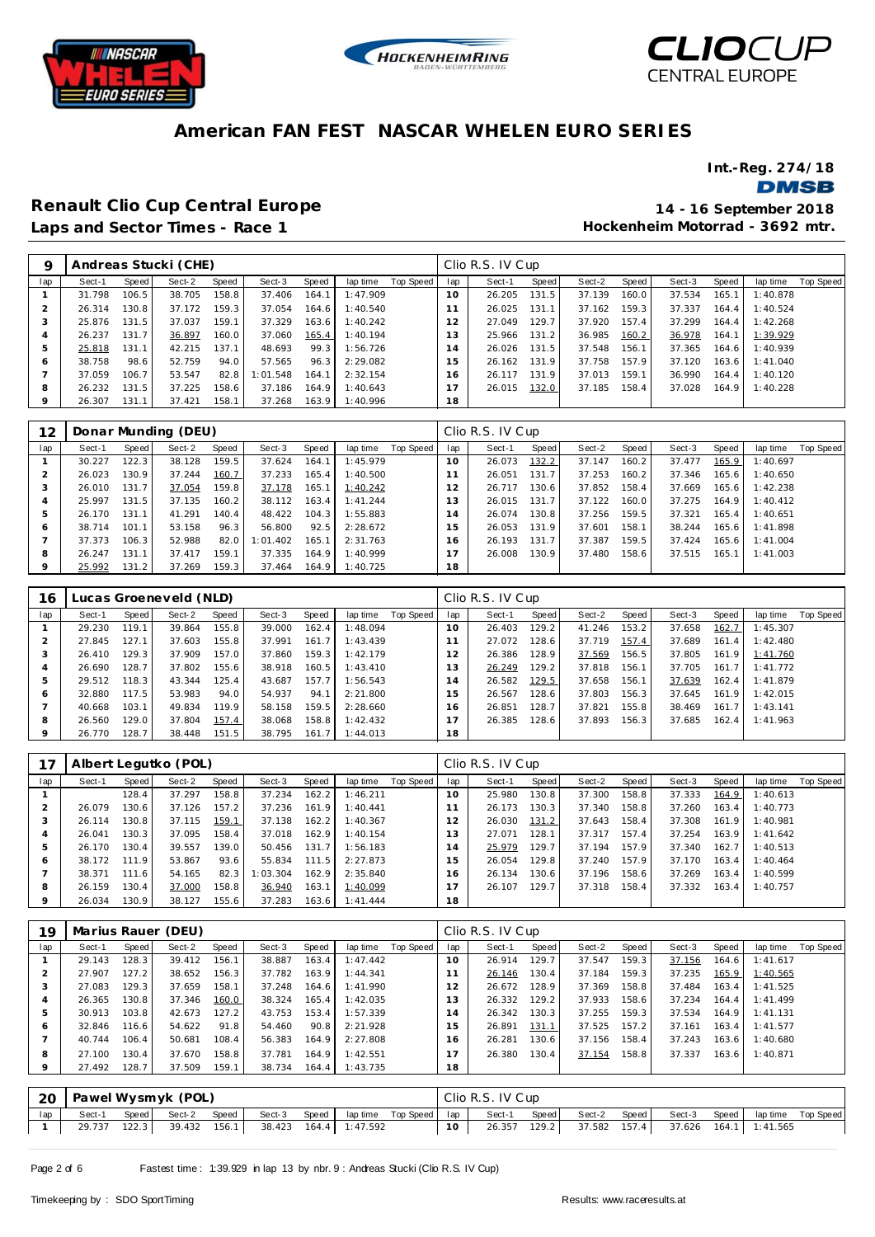





**Int.-Reg. 274/18**

**DMSB** 

# **Renault Clio Cup Central Europe 14 - 16 September 2018**

**Hockenheim Motorrad - 3692 mtr.**

| 9   |        |       | Andreas Stucki (CHE) |       |          |       |          |           |     | Clio R.S. IV Cup |       |        |       |        |       |          |           |
|-----|--------|-------|----------------------|-------|----------|-------|----------|-----------|-----|------------------|-------|--------|-------|--------|-------|----------|-----------|
| lap | Sect-1 | Speed | Sect-2               | Speed | Sect-3   | Speed | lap time | Top Speed | lap | Sect-1           | Speed | Sect-2 | Speed | Sect-3 | Speed | lap time | Top Speed |
|     | 31.798 | 106.5 | 38.705               | 158.8 | 37.406   | 164.1 | 1:47.909 |           | 10  | 26.205           | 131.5 | 37.139 | 160.0 | 37.534 | 165.1 | 1:40.878 |           |
|     | 26.314 | 130.8 | 37.172               | 159.3 | 37.054   | 164.6 | 1:40.540 |           |     | 26.025           | 131.1 | 37.162 | 159.3 | 37.337 | 164.4 | 1:40.524 |           |
| -3  | 25.876 | 131.5 | 37.037               | 159.1 | 37.329   | 163.6 | 1:40.242 |           | 2   | 27.049           | 129.7 | 37.920 | 157.4 | 37.299 | 164.4 | 1:42.268 |           |
|     | 26.237 | 131.7 | 36.897               | 160.0 | 37.060   | 165.4 | 1:40.194 |           | 3   | 25.966           | 131.2 | 36.985 | 160.2 | 36.978 | 164.1 | 1:39.929 |           |
| 5   | 25.818 | 131.1 | 42.215               | 137.1 | 48.693   | 99.3  | 1:56.726 |           | 14  | 26.026           | 131.5 | 37.548 | 156.1 | 37.365 | 164.6 | 1:40.939 |           |
| ō   | 38.758 | 98.6  | 52.759               | 94.0  | 57.565   | 96.3  | 2:29.082 |           | 5   | 26.162           | 131.9 | 37.758 | 157.9 | 37.120 | 163.6 | 1:41.040 |           |
|     | 37.059 | 106.7 | 53.547               | 82.8  | 1:01.548 | 164.1 | 2:32.154 |           | 6   | 26.117           | 131.9 | 37.013 | 159.1 | 36.990 | 164.4 | 1:40.120 |           |
| 8   | 26.232 | 131.5 | 37.225               | 158.6 | 37.186   | 164.9 | 1:40.643 |           |     | 26.015           | 132.0 | 37.185 | 158.4 | 37.028 | 164.9 | 1:40.228 |           |
| 9   | 26.307 | 131.1 | 37.421               | 158.1 | 37.268   | 163.9 | 1:40.996 |           | 18  |                  |       |        |       |        |       |          |           |

| 12      |        |       | Donar Munding (DEU) |       |          |       |          |           |          | Clio R.S. IV Cup |       |        |       |        |       |          |           |
|---------|--------|-------|---------------------|-------|----------|-------|----------|-----------|----------|------------------|-------|--------|-------|--------|-------|----------|-----------|
| lap     | Sect-1 | Speed | Sect-2              | Speed | Sect-3   | Speed | lap time | Top Speed | lap      | Sect-1           | Speed | Sect-2 | Speed | Sect-3 | Speed | lap time | Top Speed |
|         | 30.227 | 122.3 | 38.128              | 159.5 | 37.624   | 164.1 | 1:45.979 |           | $10^{-}$ | 26.073           | 132.2 | 37.147 | 160.2 | 37.477 | 165.9 | 1:40.697 |           |
|         | 26.023 | 130.9 | 37.244              | 160.7 | 37.233   | 165.4 | 1:40.500 |           |          | 26.051           | 131.7 | 37.253 | 160.2 | 37.346 | 165.6 | 1:40.650 |           |
|         | 26.010 | 131.7 | 37.054              | 159.8 | 37.178   | 165.1 | 1:40.242 |           | 12       | 26.717           | 130.6 | 37.852 | 158.4 | 37.669 | 165.6 | 1:42.238 |           |
| 4       | 25.997 | 131.5 | 37.135              | 160.2 | 38.112   | 163.4 | 1:41.244 |           | 13       | 26.015           | 131.7 | 37.122 | 160.0 | 37.275 | 164.9 | 1:40.412 |           |
| 5       | 26.170 | 131.1 | 41.291              | 140.4 | 48.422   | 104.3 | 1:55.883 |           | 14       | 26.074           | 130.8 | 37.256 | 159.5 | 37.321 | 165.4 | 1:40.651 |           |
| 6       | 38.714 | 101.1 | 53.158              | 96.3  | 56.800   | 92.5  | 2:28.672 |           | 15       | 26.053           | 131.9 | 37.601 | 158.1 | 38.244 | 165.6 | 1:41.898 |           |
|         | 37.373 | 106.3 | 52.988              | 82.0  | 1:01.402 | 165.1 | 2:31.763 |           | 16       | 26.193           | 131.7 | 37.387 | 159.5 | 37.424 | 165.6 | 1:41.004 |           |
| 8       | 26.247 | 131.1 | 37.417              | 159.1 | 37.335   | 164.9 | 1:40.999 |           |          | 26.008           | 130.9 | 37.480 | 158.6 | 37.515 | 165.1 | 1:41.003 |           |
| $\circ$ | 25.992 | 131.2 | 37.269              | 159.3 | 37.464   | 164.9 | 1:40.725 |           | 18       |                  |       |        |       |        |       |          |           |

| 16  |        |       | Lucas Groeneveld (NLD) |       |        |       |          |           |     | Clio R.S. IV Cup |       |        |       |        |       |          |           |
|-----|--------|-------|------------------------|-------|--------|-------|----------|-----------|-----|------------------|-------|--------|-------|--------|-------|----------|-----------|
| lap | Sect-1 | Speed | Sect-2                 | Speed | Sect-3 | Speed | lap time | Top Speed | lap | Sect-1           | Speed | Sect-2 | Speed | Sect-3 | Speed | lap time | Top Speed |
|     | 29.230 | 119.1 | 39.864                 | 155.8 | 39.000 | 162.4 | 1:48.094 |           | 10  | 26.403           | 129.2 | 41.246 | 153.2 | 37.658 | 162.7 | 1:45.307 |           |
|     | 27.845 | 127.1 | 37.603                 | 155.8 | 37.991 | 161.7 | 1:43.439 |           |     | 27.072           | 128.6 | 37.719 | 157.4 | 37.689 | 161.4 | 1:42.480 |           |
| 3   | 26.410 | 129.3 | 37.909                 | 157.0 | 37.860 | 159.3 | 1:42.179 |           | 12  | 26.386           | 128.9 | 37.569 | 156.5 | 37.805 | 161.9 | 1:41.760 |           |
| 4   | 26.690 | 128.7 | 37.802                 | 155.6 | 38.918 | 160.5 | 1:43.410 |           | 3   | 26.249           | 129.2 | 37.818 | 156.1 | 37.705 | 161.7 | 1:41.772 |           |
| 5   | 29.512 | 118.3 | 43.344                 | 125.4 | 43.687 | 157.7 | 1:56.543 |           | 4   | 26.582           | 129.5 | 37.658 | 156.1 | 37.639 | 162.4 | 1:41.879 |           |
| 6   | 32.880 | 117.5 | 53.983                 | 94.0  | 54.937 | 94.1  | 2:21.800 |           | 15  | 26.567           | 128.6 | 37.803 | 156.3 | 37.645 | 161.9 | 1:42.015 |           |
|     | 40.668 | 103.1 | 49.834                 | 119.9 | 58.158 | 159.5 | 2:28.660 |           | 6   | 26.851           | 128.7 | 37.821 | 155.8 | 38.469 | 161.7 | 1:43.141 |           |
| 8   | 26.560 | 129.0 | 37.804                 | 157.4 | 38.068 | 158.8 | 1:42.432 |           |     | 26.385           | 128.6 | 37.893 | 156.3 | 37.685 | 162.4 | 1:41.963 |           |
| 9   | 26.770 | 128.7 | 38.448                 | 151.5 | 38.795 | 161.7 | 1:44.013 |           | 18  |                  |       |        |       |        |       |          |           |

|         |        |       | Albert Legutko (POL) |       |          |       |          |           |                 | Clio R.S. IV Cup |       |        |       |        |       |          |           |
|---------|--------|-------|----------------------|-------|----------|-------|----------|-----------|-----------------|------------------|-------|--------|-------|--------|-------|----------|-----------|
| lap     | Sect-1 | Speed | Sect-2               | Speed | Sect-3   | Speed | lap time | Top Speed | lap             | Sect-1           | Speed | Sect-2 | Speed | Sect-3 | Speed | lap time | Top Speed |
|         |        | 128.4 | 37.297               | 158.8 | 37.234   | 162.2 | 1:46.211 |           | 10 <sup>°</sup> | 25.980           | 130.8 | 37.300 | 158.8 | 37.333 | 164.9 | 1:40.613 |           |
|         | 26.079 | 130.6 | 37.126               | 157.2 | 37.236   | 161.9 | 1:40.441 |           |                 | 26.173           | 130.3 | 37.340 | 158.8 | 37.260 | 163.4 | 1:40.773 |           |
| 3       | 26.114 | 130.8 | 37.115               | 159.1 | 37.138   | 162.2 | 1:40.367 |           | 12              | 26.030           | 131.2 | 37.643 | 158.4 | 37.308 | 161.9 | 1:40.981 |           |
| 4       | 26.041 | 130.3 | 37.095               | 158.4 | 37.018   | 162.9 | 1:40.154 |           | 3               | 27.071           | 128.1 | 37.317 | 157.4 | 37.254 | 163.9 | 1:41.642 |           |
| 5       | 26.170 | 130.4 | 39.557               | 139.0 | 50.456   | 131.7 | 1:56.183 |           | $\overline{A}$  | 25.979           | 129.7 | 37.194 | 157.9 | 37.340 | 162.7 | 1:40.513 |           |
| 6       | 38.172 | 111.9 | 53.867               | 93.6  | 55.834   | 111.5 | 2:27.873 |           | 5               | 26.054           | 129.8 | 37.240 | 157.9 | 37.170 | 163.4 | 1:40.464 |           |
|         | 38.371 | 111.6 | 54.165               | 82.3  | 1:03.304 | 162.9 | 2:35.840 |           | 6               | 26.134           | 130.6 | 37.196 | 158.6 | 37.269 | 163.4 | 1:40.599 |           |
| 8       | 26.159 | 130.4 | 37.000               | 158.8 | 36.940   | 163.1 | 1:40.099 |           |                 | 26.107           | 129.7 | 37.318 | 158.4 | 37.332 | 163.4 | 1:40.757 |           |
| $\circ$ | 26.034 | 130.9 | 38.127               | 155.6 | 37.283   | 163.6 | 1:41.444 |           | 18              |                  |       |        |       |        |       |          |           |

| 19  |        |       | Marius Rauer (DEU) |       |        |       |          |           |     | Clio R.S. IV Cup |       |        |       |        |       |          |           |
|-----|--------|-------|--------------------|-------|--------|-------|----------|-----------|-----|------------------|-------|--------|-------|--------|-------|----------|-----------|
| lap | Sect-1 | Speed | Sect-2             | Speed | Sect-3 | Speed | lap time | Top Speed | lap | Sect-1           | Speed | Sect-2 | Speed | Sect-3 | Speed | lap time | Top Speed |
|     | 29.143 | 128.3 | 39.412             | 156.1 | 38.887 | 163.4 | 1:47.442 |           | 10  | 26.914           | 129.7 | 37.547 | 159.3 | 37.156 | 164.6 | 1:41.617 |           |
|     | 27.907 | 127.2 | 38.652             | 156.3 | 37.782 | 163.9 | 1:44.341 |           |     | 26.146           | 130.4 | 37.184 | 159.3 | 37.235 | 165.9 | 1:40.565 |           |
|     | 27.083 | 129.3 | 37.659             | 158.1 | 37.248 | 164.6 | 1:41.990 |           | 12  | 26.672           | 128.9 | 37.369 | 158.8 | 37.484 | 163.4 | 1:41.525 |           |
|     | 26.365 | 130.8 | 37.346             | 160.0 | 38.324 | 165.4 | 1:42.035 |           | 13  | 26.332           | 129.2 | 37.933 | 158.6 | 37.234 | 164.4 | 1:41.499 |           |
|     | 30.913 | 103.8 | 42.673             | 127.2 | 43.753 | 153.4 | 1:57.339 |           | 14  | 26.342           | 130.3 | 37.255 | 159.3 | 37.534 | 164.9 | 1:41.131 |           |
| 6   | 32.846 | 116.6 | 54.622             | 91.8  | 54.460 | 90.8  | 2:21.928 |           | 15  | 26.891           | 131.1 | 37.525 | 157.2 | 37.161 | 163.4 | 1:41.577 |           |
|     | 40.744 | 106.4 | 50.681             | 108.4 | 56.383 | 164.9 | 2:27.808 |           | 16. | 26.281           | 130.6 | 37.156 | 158.4 | 37.243 | 163.6 | 1:40.680 |           |
| 8   | 27.100 | 130.4 | 37.670             | 158.8 | 37.781 | 164.9 | 1:42.551 |           |     | 26.380           | 130.4 | 37.154 | 158.8 | 37.337 | 163.6 | 1:40.871 |           |
| 9   | 27.492 | 128.7 | 37.509             | 159.1 | 38.734 | 164.4 | 1:43.735 |           | 18  |                  |       |        |       |        |       |          |           |
|     |        |       |                    |       |        |       |          |           |     |                  |       |        |       |        |       |          |           |

| -20 |        |       | Pawel Wysmyk (POL) |       |        |                             |  | Clio R.S. IV Cup |       |              |       |        |                          |  |
|-----|--------|-------|--------------------|-------|--------|-----------------------------|--|------------------|-------|--------------|-------|--------|--------------------------|--|
| lap | Sect-1 | Speed | Sect-2             | Speed | Sect-3 | Speed laptime Top Speed lap |  | Sect-1 Speed     |       | Sect-2       | Speed | Sect-3 | Speed lap time Top Speed |  |
|     | 29.737 | 122.3 | 39.432             | 156.1 |        | 38.423  164.4  1:47.592     |  | 26.357           | 129.2 | 37.582 157.4 |       |        | 37.626  164.1  1:41.565  |  |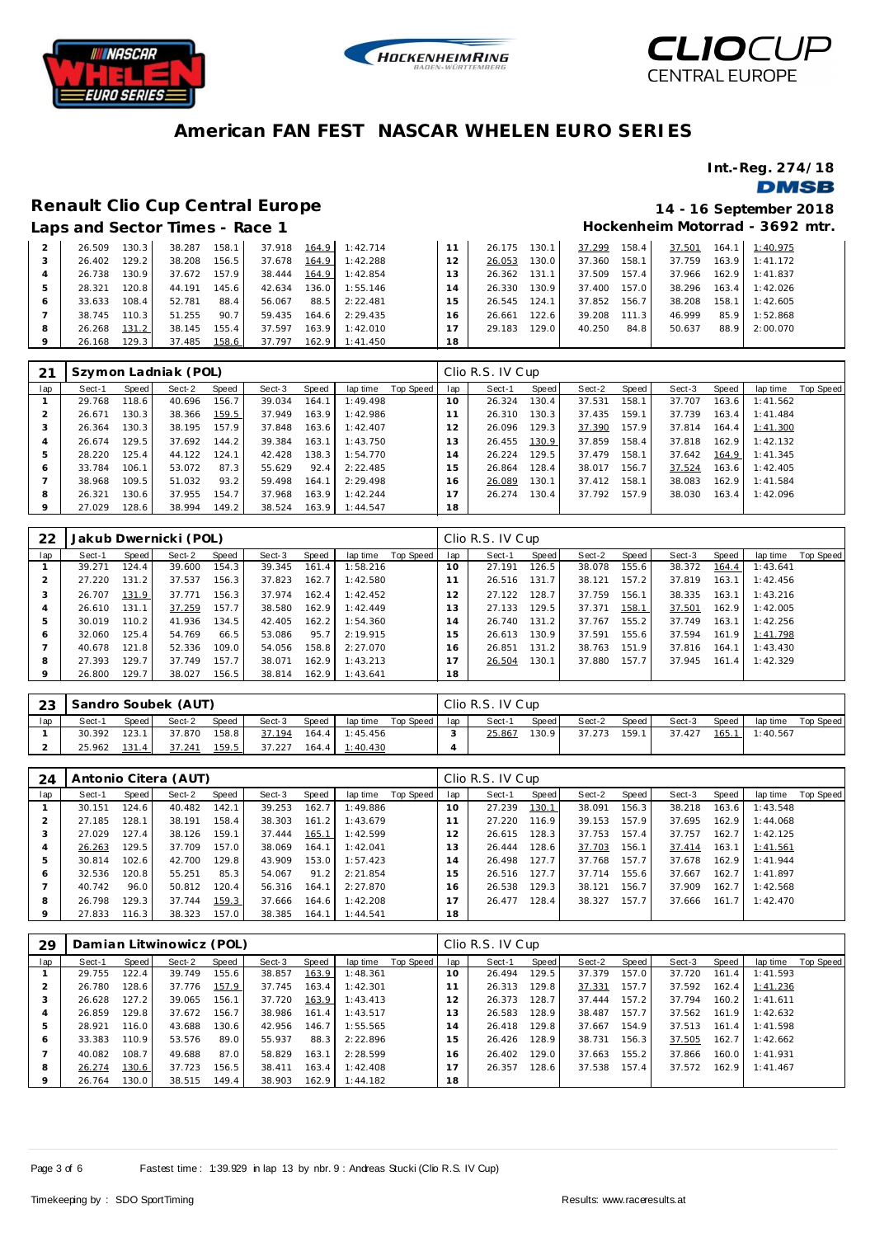





**Int.-Reg. 274/18**

#### **DMSB**

#### **Renault Clio Cup Central Europe 14 - 16 September 2018**

## **Hockenheim Motorrad - 3692 mtr.**

|                |        |       | Laps and Sector Times - Race 1 |       |        |       |          |    |        |       |        |       | Hockenheim Motorrad - 369. |       |          |
|----------------|--------|-------|--------------------------------|-------|--------|-------|----------|----|--------|-------|--------|-------|----------------------------|-------|----------|
|                | 26.509 | 130.3 | 38.287                         | 158.1 | 37.918 | 164.9 | 1:42.714 |    | 26.175 | 130.1 | 37.299 | 158.4 | 37.501                     | 164.1 | 1:40.975 |
|                | 26.402 | 129.2 | 38.208                         | 156.5 | 37.678 | 164.9 | 1:42.288 | 12 | 26.053 | 130.0 | 37.360 | 158.1 | 37.759                     | 163.9 | 1:41.172 |
| $\overline{A}$ | 26.738 | 130.9 | 37.672                         | 157.9 | 38.444 | 164.9 | 1:42.854 | 13 | 26.362 | 131.1 | 37.509 | 157.4 | 37.966                     | 162.9 | 1:41.837 |
| 5              | 28.321 | 120.8 | 44.191                         | 145.6 | 42.634 | 136.0 | 1:55.146 | 14 | 26.330 | 130.9 | 37.400 | 157.0 | 38.296                     | 163.4 | 1:42.026 |
| 6              | 33.633 | 108.4 | 52.781                         | 88.4  | 56.067 | 88.5  | 2:22.481 | 15 | 26.545 | 124.1 | 37.852 | 156.7 | 38.208                     | 158.1 | 1:42.605 |
|                | 38.745 | 110.3 | 51.255                         | 90.7  | 59.435 | 164.6 | 2:29.435 | 16 | 26.661 | 122.6 | 39.208 | 111.3 | 46.999                     | 85.9  | 1:52.868 |
| 8              | 26.268 | 131.2 | 38.145                         | 155.4 | 37.597 | 163.9 | 1:42.010 | 17 | 29.183 | 129.0 | 40.250 | 84.8  | 50.637                     | 88.9  | 2:00.070 |
|                | 26.168 | 129.3 | 37.485                         | 158.6 | 37.797 | 162.9 | 1:41.450 | 18 |        |       |        |       |                            |       |          |

|     |        |       | Szymon Ladniak (POL) |       |        |       |          |           |     | Clio R.S. IV Cup |       |        |       |        |       |          |           |
|-----|--------|-------|----------------------|-------|--------|-------|----------|-----------|-----|------------------|-------|--------|-------|--------|-------|----------|-----------|
| lap | Sect-1 | Speed | Sect-2               | Speed | Sect-3 | Speed | lap time | Top Speed | lap | Sect-1           | Speed | Sect-2 | Speed | Sect-3 | Speed | lap time | Top Speed |
|     | 29.768 | 118.6 | 40.696               | 156.7 | 39.034 | 164.1 | 1:49.498 |           | 10  | 26.324           | 130.4 | 37.531 | 158.1 | 37.707 | 163.6 | 1:41.562 |           |
|     | 26.671 | 130.3 | 38.366               | 159.5 | 37.949 | 163.9 | 1:42.986 |           | 11  | 26.310           | 130.3 | 37.435 | 159.1 | 37.739 | 163.4 | 1:41.484 |           |
| -3  | 26.364 | 130.3 | 38.195               | 157.9 | 37.848 | 163.6 | 1:42.407 |           | 12  | 26.096           | 129.3 | 37.390 | 157.9 | 37.814 | 164.4 | 1:41.300 |           |
|     | 26.674 | 129.5 | 37.692               | 144.2 | 39.384 | 163.1 | 1:43.750 |           | 13  | 26.455           | 130.9 | 37.859 | 158.4 | 37.818 | 162.9 | 1:42.132 |           |
| 5   | 28.220 | 125.4 | 44.122               | 124.1 | 42.428 | 138.3 | 1:54.770 |           | 14  | 26.224           | 129.5 | 37.479 | 158.1 | 37.642 | 164.9 | 1:41.345 |           |
| Ô   | 33.784 | 106.1 | 53.072               | 87.3  | 55.629 | 92.4  | 2:22.485 |           | 15  | 26.864           | 128.4 | 38.017 | 156.7 | 37.524 | 163.6 | 1:42.405 |           |
|     | 38.968 | 109.5 | 51.032               | 93.2  | 59.498 | 164.1 | 2:29.498 |           | 16  | 26.089           | 130.1 | 37.412 | 158.1 | 38.083 | 162.9 | 1:41.584 |           |
| 8   | 26.321 | 130.6 | 37.955               | 154.7 | 37.968 | 163.9 | 1:42.244 |           | 17  | 26.274           | 130.4 | 37.792 | 157.9 | 38.030 | 163.4 | 1:42.096 |           |
| 9   | 27.029 | 128.6 | 38.994               | 149.2 | 38.524 | 163.9 | 1:44.547 |           | 18  |                  |       |        |       |        |       |          |           |

| 22      |        |       | Jakub Dwernicki (POL) |       |        |       |          |           |     | Clio R.S. IV Cup |       |        |       |        |       |          |           |
|---------|--------|-------|-----------------------|-------|--------|-------|----------|-----------|-----|------------------|-------|--------|-------|--------|-------|----------|-----------|
| lap     | Sect-1 | Speed | Sect-2                | Speed | Sect-3 | Speed | lap time | Top Speed | lap | Sect-1           | Speed | Sect-2 | Speed | Sect-3 | Speed | lap time | Top Speed |
|         | 39.271 | 124.4 | 39.600                | 154.3 | 39.345 | 161.4 | 1:58.216 |           | 10  | 27.191           | 126.5 | 38.078 | 155.6 | 38.372 | 164.4 | 1:43.641 |           |
|         | 27.220 | 131.2 | 37.537                | 156.3 | 37.823 | 162.7 | 1:42.580 |           |     | 26.516           | 131.7 | 38.121 | 157.2 | 37.819 | 163.1 | 1:42.456 |           |
| 3       | 26.707 | 131.9 | 37.771                | 156.3 | 37.974 | 162.4 | 1:42.452 |           | 12  | 27.122           | 128.7 | 37.759 | 156.1 | 38.335 | 163.1 | 1:43.216 |           |
| 4       | 26.610 | 131.1 | 37.259                | 157.7 | 38.580 | 162.9 | 1:42.449 |           | 13  | 27.133           | 129.5 | 37.371 | 158.1 | 37.501 | 162.9 | 1:42.005 |           |
|         | 30.019 | 110.2 | 41.936                | 134.5 | 42.405 | 162.2 | 1:54.360 |           | 14  | 26.740           | 131.2 | 37.767 | 155.2 | 37.749 | 163.1 | 1:42.256 |           |
| 6       | 32.060 | 125.4 | 54.769                | 66.5  | 53.086 | 95.7  | 2:19.915 |           | 15  | 26.613           | 130.9 | 37.591 | 155.6 | 37.594 | 161.9 | 1:41.798 |           |
|         | 40.678 | 121.8 | 52.336                | 109.0 | 54.056 | 158.8 | 2:27.070 |           | 16  | 26.851           | 131.2 | 38.763 | 151.9 | 37.816 | 164.1 | 1:43.430 |           |
| 8       | 27.393 | 129.7 | 37.749                | 157.7 | 38.071 | 162.9 | 1:43.213 |           |     | 26.504           | 130.1 | 37.880 | 157.7 | 37.945 | 161.4 | 1:42.329 |           |
| $\circ$ | 26.800 | 129.7 | 38.027                | 156.5 | 38.814 | 162.9 | 1:43.641 |           | 18  |                  |       |        |       |        |       |          |           |

| 23  |        |       | Sandro Soubek (AUT) |       |        |       |                  |           |     | Clio R.S. IV Cup |       |        |       |        |       |          |           |
|-----|--------|-------|---------------------|-------|--------|-------|------------------|-----------|-----|------------------|-------|--------|-------|--------|-------|----------|-----------|
| lap | Sect-1 | Speed | Sect-2              | Speed | Sect-3 | Speed | lap time         | Top Speed | lap | Sect-1           | Speed | Sect-2 | Speed | Sect-3 | Speed | lap time | Top Speed |
|     | 30.392 | 123.1 | 37.870              | 158.8 | 37.194 |       | $164.4$ 1:45.456 |           |     | 25.867           | 130.9 | 37.273 | 159.1 | 37.427 | 165.1 | 1:40.567 |           |
|     | 25.962 | 131.4 | 37.241              | 159.5 | 37.227 | 164.4 | 1:40.430         |           |     |                  |       |        |       |        |       |          |           |

| -24     |        |       | Antonio Citera (AUT) |       |        |       |          |           |                 | Clio R.S. IV Cup |       |        |       |        |       |          |           |
|---------|--------|-------|----------------------|-------|--------|-------|----------|-----------|-----------------|------------------|-------|--------|-------|--------|-------|----------|-----------|
| lap     | Sect-1 | Speed | Sect-2               | Speed | Sect-3 | Speed | lap time | Top Speed | lap             | Sect-1           | Speed | Sect-2 | Speed | Sect-3 | Speed | lap time | Top Speed |
|         | 30.151 | 124.6 | 40.482               | 142.1 | 39.253 | 162.7 | 1:49.886 |           | 10 <sup>°</sup> | 27.239           | 130.1 | 38.091 | 156.3 | 38.218 | 163.6 | 1:43.548 |           |
|         | 27.185 | 128.1 | 38.191               | 158.4 | 38.303 | 161.2 | 1:43.679 |           |                 | 27.220           | 116.9 | 39.153 | 157.9 | 37.695 | 162.9 | 1:44.068 |           |
| ر -     | 27.029 | 127.4 | 38.126               | 159.1 | 37.444 | 165.1 | 1:42.599 |           |                 | 26.615           | 128.3 | 37.753 | 157.4 | 37.757 | 162.7 | 1:42.125 |           |
|         | 26.263 | 129.5 | 37.709               | 157.0 | 38.069 | 164.1 | 1:42.041 |           | 13              | 26.444           | 128.6 | 37.703 | 156.1 | 37.414 | 163.1 | 1:41.561 |           |
| 5       | 30.814 | 102.6 | 42.700               | 129.8 | 43.909 | 153.0 | 1:57.423 |           | $\overline{4}$  | 26.498           | 127.7 | 37.768 | 157.7 | 37.678 | 162.9 | 1:41.944 |           |
| $\circ$ | 32.536 | 120.8 | 55.251               | 85.3  | 54.067 | 91.2  | 2:21.854 |           | 15              | 26.516           | 127.7 | 37.714 | 155.6 | 37.667 | 162.7 | 1:41.897 |           |
|         | 40.742 | 96.0  | 50.812               | 120.4 | 56.316 | 164.1 | 2:27.870 |           | 16              | 26.538           | 129.3 | 38.121 | 156.7 | 37.909 | 162.7 | 1:42.568 |           |
| 8       | 26.798 | 129.3 | 37.744               | 159.3 | 37.666 | 164.6 | 1:42.208 |           |                 | 26.477           | 128.4 | 38.327 | 157.7 | 37.666 | 161.7 | 1:42.470 |           |
| $\circ$ | 27.833 | 116.3 | 38.323               | 157.0 | 38.385 | 164.1 | 1:44.541 |           | 18              |                  |       |        |       |        |       |          |           |

| 29             |        |       | Damian Litwinowicz (POL) |       |        |       |          |           |     | Clio R.S. IV Cup |       |        |       |        |       |          |                  |
|----------------|--------|-------|--------------------------|-------|--------|-------|----------|-----------|-----|------------------|-------|--------|-------|--------|-------|----------|------------------|
| lap            | Sect-1 | Speed | Sect-2                   | Speed | Sect-3 | Speed | lap time | Top Speed | lap | Sect-1           | Speed | Sect-2 | Speed | Sect-3 | Speed | lap time | <b>Top Speed</b> |
|                | 29.755 | 122.4 | 39.749                   | 155.6 | 38.857 | 163.9 | 1:48.361 |           | 10  | 26.494           | 129.5 | 37.379 | 157.0 | 37.720 | 161.4 | 1:41.593 |                  |
|                | 26.780 | 128.6 | 37.776                   | 157.9 | 37.745 | 163.4 | 1:42.301 |           |     | 26.313           | 129.8 | 37.331 | 157.7 | 37.592 | 162.4 | 1:41.236 |                  |
| 3              | 26.628 | 127.2 | 39.065                   | 156.1 | 37.720 | 163.9 | 1:43.413 |           | 12  | 26.373           | 128.7 | 37.444 | 157.2 | 37.794 | 160.2 | 1:41.611 |                  |
| $\overline{A}$ | 26.859 | 129.8 | 37.672                   | 156.7 | 38.986 | 161.4 | 1:43.517 |           | 13  | 26.583           | 128.9 | 38.487 | 157.7 | 37.562 | 161.9 | 1:42.632 |                  |
| 5              | 28.921 | 116.0 | 43.688                   | 130.6 | 42.956 | 146.7 | 1:55.565 |           | 14  | 26.418           | 129.8 | 37.667 | 154.9 | 37.513 | 161.4 | 1:41.598 |                  |
| 6              | 33.383 | 110.9 | 53.576                   | 89.0  | 55.937 | 88.3  | 2:22.896 |           | 15  | 26.426           | 128.9 | 38.731 | 156.3 | 37.505 | 162.7 | 1:42.662 |                  |
|                | 40.082 | 108.7 | 49.688                   | 87.0  | 58.829 | 163.7 | 2:28.599 |           | 16  | 26.402           | 129.0 | 37.663 | 155.2 | 37.866 | 160.0 | 1:41.931 |                  |
| 8              | 26.274 | 130.6 | 37.723                   | 156.5 | 38.411 | 163.4 | 1:42.408 |           | 17  | 26.357           | 128.6 | 37.538 | 157.4 | 37.572 | 162.9 | 1:41.467 |                  |
| $\circ$        | 26.764 | 130.0 | 38.515                   | 149.4 | 38.903 | 162.9 | 1:44.182 |           | 18  |                  |       |        |       |        |       |          |                  |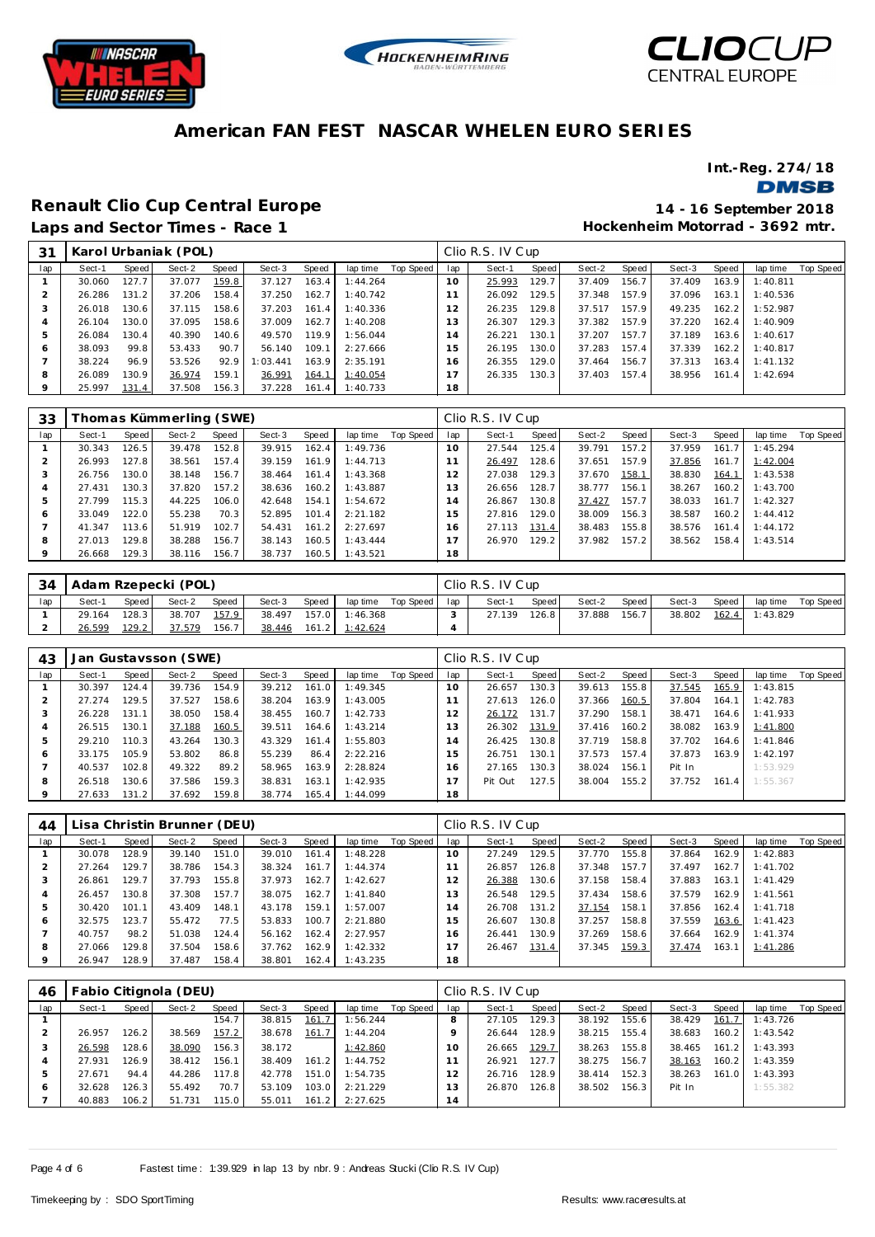





**Int.-Reg. 274/18**

**DMSB** 

**Renault Clio Cup Central Europe 14 - 16 September 2018**

**Hockenheim Motorrad - 3692 mtr.**

| 31           |        |       | Karol Urbaniak (POL) |       |          |       |          |           |                | Clio R.S. IV Cup |        |        |       |        |       |          |           |
|--------------|--------|-------|----------------------|-------|----------|-------|----------|-----------|----------------|------------------|--------|--------|-------|--------|-------|----------|-----------|
| lap          | Sect-1 | Speed | Sect-2               | Speed | Sect-3   | Speed | lap time | Top Speed | lap            | Sect-1           | Speed  | Sect-2 | Speed | Sect-3 | Speed | lap time | Top Speed |
|              | 30.060 | 127.7 | 37.077               | 159.8 | 37.127   | 163.4 | 1:44.264 |           | $10^{-}$       | 25.993           | 129.7  | 37.409 | 156.7 | 37.409 | 163.9 | 1:40.811 |           |
|              | 26.286 | 131.2 | 37.206               | 158.4 | 37.250   | 162.7 | 1:40.742 |           |                | 26.092           | 129.5  | 37.348 | 157.9 | 37.096 | 163.1 | 1:40.536 |           |
| -3           | 26.018 | 130.6 | 37.115               | 158.6 | 37.203   | 161.4 | 1:40.336 |           | 12             | 26.235           | 129.8  | 37.517 | 157.9 | 49.235 | 162.2 | 1:52.987 |           |
|              | 26.104 | 130.0 | 37.095               | 158.6 | 37.009   | 162.7 | 1:40.208 |           | 13             | 26.307           | 129.31 | 37.382 | 157.9 | 37.220 | 162.4 | 1:40.909 |           |
| 5            | 26.084 | 130.4 | 40.390               | 140.6 | 49.570   | 119.9 | 1:56.044 |           | $\overline{A}$ | 26.221           | 130.1  | 37.207 | 157.7 | 37.189 | 163.6 | 1:40.617 |           |
| <sub>6</sub> | 38.093 | 99.8  | 53.433               | 90.7  | 56.140   | 109.1 | 2:27.666 |           | 15             | 26.195           | 130.0  | 37.283 | 157.4 | 37.339 | 162.2 | 1:40.817 |           |
|              | 38.224 | 96.9  | 53.526               | 92.9  | 1:03.441 | 163.9 | 2:35.191 |           | 16             | 26.355           | 129.0  | 37.464 | 156.7 | 37.313 | 163.4 | 1:41.132 |           |
| 8            | 26.089 | 130.9 | 36.974               | 159.1 | 36.991   | 164.1 | 1:40.054 |           | $\overline{ }$ | 26.335           | 130.3  | 37.403 | 157.4 | 38.956 | 161.4 | 1:42.694 |           |
|              | 25.997 | 131.4 | 37.508               | 156.3 | 37.228   | 161.4 | 1:40.733 |           | 18             |                  |        |        |       |        |       |          |           |

| 33      |        |                    | Thomas Kümmerling (SWE) |       |        |       |          |           |     | Clio R.S. IV Cup |       |        |       |        |       |          |           |
|---------|--------|--------------------|-------------------------|-------|--------|-------|----------|-----------|-----|------------------|-------|--------|-------|--------|-------|----------|-----------|
| lap     | Sect-1 | Speed              | Sect-2                  | Speed | Sect-3 | Speed | lap time | Top Speed | lap | Sect-1           | Speed | Sect-2 | Speed | Sect-3 | Speed | lap time | Top Speed |
|         | 30.343 | 126.5              | 39.478                  | 152.8 | 39.915 | 162.4 | 1:49.736 |           | 10  | 27.544           | 125.4 | 39.791 | 157.2 | 37.959 | 161.7 | 1:45.294 |           |
|         | 26.993 | 127.8              | 38.561                  | 157.4 | 39.159 | 161.9 | 1:44.713 |           |     | 26.497           | 128.6 | 37.651 | 157.9 | 37.856 | 161.7 | 1:42.004 |           |
| -5      | 26.756 | 130.0              | 38.148                  | 156.7 | 38.464 | 161.4 | 1:43.368 |           |     | 27.038           | 129.3 | 37.670 | 158.1 | 38.830 | 164.1 | 1:43.538 |           |
|         | 27.431 | 130.3              | 37.820                  | 157.2 | 38.636 | 160.2 | 1:43.887 |           | 13  | 26.656           | 128.7 | 38.777 | 156.1 | 38.267 | 160.2 | 1:43.700 |           |
| 5       | 27.799 | 115.3 <sub>1</sub> | 44.225                  | 106.0 | 42.648 | 154.1 | 1:54.672 |           | 14  | 26.867           | 130.8 | 37.427 | 157.7 | 38.033 | 161.7 | 1:42.327 |           |
| $\circ$ | 33.049 | 122.0              | 55.238                  | 70.3  | 52.895 | 101.4 | 2:21.182 |           | 15  | 27.816           | 129.0 | 38.009 | 156.3 | 38.587 | 160.2 | 1:44.412 |           |
|         | 41.347 | 113.6              | 51.919                  | 102.7 | 54.431 | 161.2 | 2:27.697 |           | 16  | 27.113           | 131.4 | 38.483 | 155.8 | 38.576 | 161.4 | 1:44.172 |           |
| 8       | 27.013 | 129.8              | 38.288                  | 156.7 | 38.143 | 160.5 | 1:43.444 |           |     | 26.970           | 129.2 | 37.982 | 157.2 | 38.562 | 158.4 | 1:43.514 |           |
| $\circ$ | 26.668 | 129.3              | 38.116                  | 156.7 | 38.737 | 160.5 | 1:43.521 |           | 18  |                  |       |        |       |        |       |          |           |

| 34  | l Adam Rzepecki (POL) |       |        |       |        |       |                  |           |     | Clio R.S. IV Cup |       |        |       |        |       |          |           |
|-----|-----------------------|-------|--------|-------|--------|-------|------------------|-----------|-----|------------------|-------|--------|-------|--------|-------|----------|-----------|
| lap | Sect-1                | Speed | Sect-2 | Speed | Sect-3 | Speed | lap time         | Top Speed | lap | Sect-1           | Speed | Sect-2 | Speed | Sect-3 | Speed | lap time | Top Speed |
|     | 29.164                | 128.3 | 38.707 | 157.9 | 38.497 |       | 157.0 1:46.368   |           |     | 27.139           | 126.8 | 37.888 | 156.7 | 38.802 | 162.4 | 1:43.829 |           |
|     | 26.599                | 129.2 | 37.579 | 156.7 | 38.446 |       | $161.2$ 1:42.624 |           |     |                  |       |        |       |        |       |          |           |

| 43  |        |       | Jan Gustavsson (SWE) |       |        |       |          |           |                | Clio R.S. IV Cup |       |        |       |        |       |          |           |
|-----|--------|-------|----------------------|-------|--------|-------|----------|-----------|----------------|------------------|-------|--------|-------|--------|-------|----------|-----------|
| lap | Sect-1 | Speed | Sect-2               | Speed | Sect-3 | Speed | lap time | Top Speed | lap            | Sect-1           | Speed | Sect-2 | Speed | Sect-3 | Speed | lap time | Top Speed |
|     | 30.397 | 124.4 | 39.736               | 154.9 | 39.212 | 161.0 | 1:49.345 |           | $10^{-}$       | 26.657           | 130.3 | 39.613 | 155.8 | 37.545 | 165.9 | 1:43.815 |           |
|     | 27.274 | 129.5 | 37.527               | 158.6 | 38.204 | 163.9 | 1:43.005 |           |                | 27.613           | 126.0 | 37.366 | 160.5 | 37.804 | 164.1 | 1:42.783 |           |
| 3   | 26.228 | 131.1 | 38.050               | 158.4 | 38.455 | 160.7 | 1:42.733 |           | 12             | 26.172           | 131.7 | 37.290 | 158.1 | 38.471 | 164.6 | 1:41.933 |           |
| 4   | 26.515 | 130.1 | 37.188               | 160.5 | 39.511 | 164.6 | 1:43.214 |           | 3              | 26.302           | 131.9 | 37.416 | 160.2 | 38.082 | 163.9 | 1:41.800 |           |
| 5   | 29.210 | 110.3 | 43.264               | 130.3 | 43.329 | 161.4 | 1:55.803 |           | $\overline{A}$ | 26.425           | 130.8 | 37.719 | 158.8 | 37.702 | 164.6 | 1:41.846 |           |
| 6   | 33.175 | 105.9 | 53.802               | 86.8  | 55.239 | 86.4  | 2:22.216 |           | 5              | 26.751           | 130.1 | 37.573 | 157.4 | 37.873 | 163.9 | 1:42.197 |           |
|     | 40.537 | 102.8 | 49.322               | 89.2  | 58.965 | 163.9 | 2:28.824 |           | 6              | 27.165           | 130.3 | 38.024 | 156.1 | Pit In |       | 1:53.929 |           |
| 8   | 26.518 | 130.6 | 37.586               | 159.3 | 38.831 | 163.1 | 1:42.935 |           |                | Pit Out          | 127.5 | 38.004 | 155.2 | 37.752 | 161.4 | 1:55.367 |           |
| 9   | 27.633 | 131.2 | 37.692               | 159.8 | 38.774 | 165.4 | 1:44.099 |           | 18             |                  |       |        |       |        |       |          |           |

| 44  |        |       | .isa Christin Brunner (DEU) |       |        |       |          |           |     | Clio R.S. IV Cup |       |        |       |        |       |          |                  |
|-----|--------|-------|-----------------------------|-------|--------|-------|----------|-----------|-----|------------------|-------|--------|-------|--------|-------|----------|------------------|
| lap | Sect-1 | Speed | Sect-2                      | Speed | Sect-3 | Speed | lap time | Top Speed | lap | Sect-1           | Speed | Sect-2 | Speed | Sect-3 | Speed | lap time | <b>Top Speed</b> |
|     | 30.078 | 128.9 | 39.140                      | 151.0 | 39.010 | 161.4 | 1:48.228 |           | 10  | 27.249           | 129.5 | 37.770 | 155.8 | 37.864 | 162.9 | 1:42.883 |                  |
|     | 27.264 | 129.7 | 38.786                      | 154.3 | 38.324 | 161.7 | 1:44.374 |           |     | 26.857           | 126.8 | 37.348 | 157.7 | 37.497 | 162.7 | 1:41.702 |                  |
|     | 26.861 | 129.7 | 37.793                      | 155.8 | 37.973 | 162.7 | 1:42.627 |           |     | 26.388           | 130.6 | 37.158 | 158.4 | 37.883 | 163.1 | 1:41.429 |                  |
|     | 26.457 | 130.8 | 37.308                      | 157.7 | 38.075 | 162.7 | 1:41.840 |           | 13  | 26.548           | 129.5 | 37.434 | 158.6 | 37.579 | 162.9 | 1:41.561 |                  |
|     | 30.420 | 101.1 | 43.409                      | 148.1 | 43.178 | 159.1 | 1:57.007 |           | 14  | 26.708           | 131.2 | 37.154 | 158.1 | 37.856 | 162.4 | 1:41.718 |                  |
| O   | 32.575 | 123.7 | 55.472                      | 77.5  | 53.833 | 100.7 | 2:21.880 |           | 15  | 26.607           | 130.8 | 37.257 | 158.8 | 37.559 | 163.6 | 1:41.423 |                  |
|     | 40.757 | 98.2  | 51.038                      | 124.4 | 56.162 | 162.4 | 2:27.957 |           | 16. | 26.441           | 130.9 | 37.269 | 158.6 | 37.664 | 162.9 | 1:41.374 |                  |
| 8   | 27.066 | 129.8 | 37.504                      | 158.6 | 37.762 | 162.9 | 1:42.332 |           |     | 26.467           | 131.4 | 37.345 | 159.3 | 37.474 | 163.1 | 1:41.286 |                  |
| 9   | 26.947 | 128.9 | 37.487                      | 158.4 | 38.801 | 162.4 | 1:43.235 |           | 18  |                  |       |        |       |        |       |          |                  |

| 46  |        |       | Fabio Citignola (DEU) |       |        |       |          |           |     | Clio R.S. IV Cup |       |        |       |        |       |          |           |
|-----|--------|-------|-----------------------|-------|--------|-------|----------|-----------|-----|------------------|-------|--------|-------|--------|-------|----------|-----------|
| lap | Sect-1 | Speed | Sect-2                | Speed | Sect-3 | Speed | lap time | Top Speed | lap | Sect-1           | Speed | Sect-2 | Speed | Sect-3 | Speed | lap time | Top Speed |
|     |        |       |                       | 154.7 | 38.815 | 161.7 | 1:56.244 |           |     | 27.105           | 129.3 | 38.192 | 155.6 | 38.429 | 161.7 | 1:43.726 |           |
|     | 26.957 | 126.2 | 38.569                | 157.2 | 38.678 | 161.7 | 1:44.204 |           |     | 26.644           | 128.9 | 38.215 | 155.4 | 38.683 | 160.2 | 1:43.542 |           |
| 3   | 26.598 | 128.6 | 38.090                | 156.3 | 38.172 |       | 1:42.860 |           | 10  | 26.665           | 129.7 | 38.263 | 155.8 | 38.465 | 161.2 | 1:43.393 |           |
| 4   | 27.931 | 126.9 | 38.412                | 156.1 | 38.409 | 161.2 | 1:44.752 |           |     | 26.921           | 127.7 | 38.275 | 156.7 | 38.163 | 160.2 | 1:43.359 |           |
| 5   | 27.671 | 94.4  | 44.286                | 117.8 | 42.778 | 151.0 | 1:54.735 |           |     | 26.716           | 128.9 | 38.414 | 152.3 | 38.263 | 161.0 | 1:43.393 |           |
| O   | 32.628 | 126.3 | 55.492                | 70.7  | 53.109 | 103.0 | 2:21.229 |           | 3   | 26.870           | 126.8 | 38.502 | 156.3 | Pit In |       | 1:55.382 |           |
|     | 40.883 | 106.2 | 51.731                | 115.0 | 55.011 | 161.2 | 2:27.625 |           | 14  |                  |       |        |       |        |       |          |           |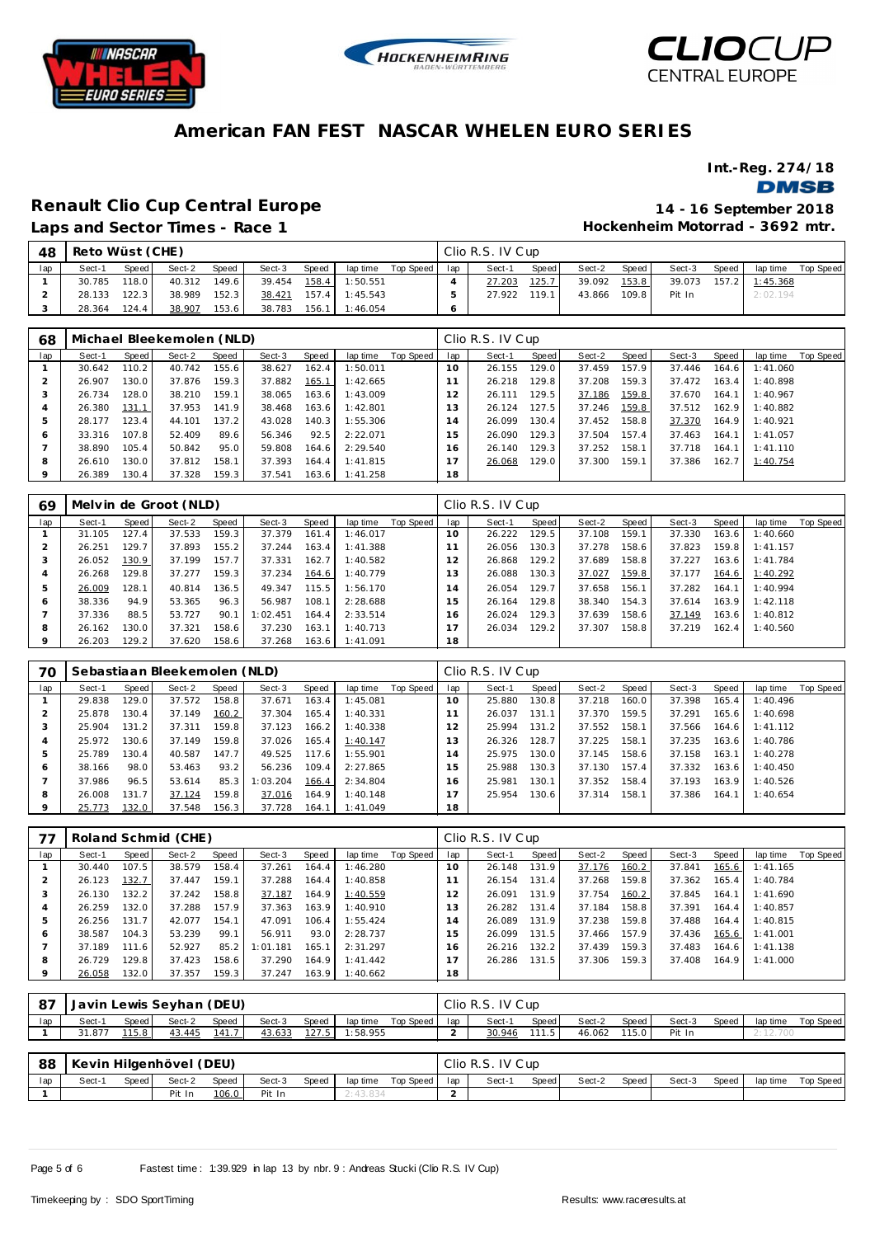





**Int.-Reg. 274/18**

**DMSB** 

## **Renault Clio Cup Central Europe 14 - 16 September 2018**

**Laps and Sector Times - Race 1**

**Hockenheim Motorrad - 3692 mtr.**

| 48  | Reto Wüst (CHE) |                    |        |       |        |         |          |           |     | Clio R.S. IV Cup |       |        |         |        |       |                |           |  |  |  |
|-----|-----------------|--------------------|--------|-------|--------|---------|----------|-----------|-----|------------------|-------|--------|---------|--------|-------|----------------|-----------|--|--|--|
| lap | Sect-1          | Speed              | Sect-2 | Speed | Sect-3 | Speed   | lap time | Top Speed | lap | Sect-1           | Speed | Sect-2 | Speed   | Sect-3 | Speed | lap time       | Top Speed |  |  |  |
|     | 30.785          | 118.0              | 40.312 | 149.6 | 39.454 | $158.4$ | 1:50.551 |           |     | 27.203           | 125.7 | 39.092 | 153.8   | 39.073 |       | 157.2 1:45.368 |           |  |  |  |
|     | 28.133          | 122.3              | 38.989 | 152.3 | 38.421 | 157.4   | 1:45.543 |           |     | 27.922           | 119.1 | 43.866 | $109.8$ | Pit In |       | 2:02.194       |           |  |  |  |
|     | 28.364          | 124.4 <sub>1</sub> | 38.907 | 153.6 | 38.783 | 156.1   | 1:46.054 |           |     |                  |       |        |         |        |       |                |           |  |  |  |

| 68           | Michael Bleekemolen (NLD) |       |        |       |        |       |          |           |     | Clio R.S. IV Cup |                    |        |       |        |       |          |           |  |  |
|--------------|---------------------------|-------|--------|-------|--------|-------|----------|-----------|-----|------------------|--------------------|--------|-------|--------|-------|----------|-----------|--|--|
| lap          | Sect-1                    | Speed | Sect-2 | Speed | Sect-3 | Speed | lap time | Top Speed | lap | Sect-1           | Speed              | Sect-2 | Speed | Sect-3 | Speed | lap time | Top Speed |  |  |
|              | 30.642                    | 110.2 | 40.742 | 155.6 | 38.627 | 162.4 | 1:50.011 |           | 10  | 26.155           | 129.0              | 37.459 | 157.9 | 37.446 | 164.6 | 1:41.060 |           |  |  |
|              | 26.907                    | 130.0 | 37.876 | 159.3 | 37.882 | 165.1 | 1:42.665 |           |     | 26.218           | 129.8 <sub>1</sub> | 37.208 | 159.3 | 37.472 | 163.4 | 1:40.898 |           |  |  |
|              | 26.734                    | 128.0 | 38.210 | 159.1 | 38.065 | 163.6 | 1:43.009 |           | 12  | 26.111           | 129.5              | 37.186 | 159.8 | 37.670 | 164.1 | 1:40.967 |           |  |  |
| 4            | 26.380                    | 131.1 | 37.953 | 141.9 | 38.468 | 163.6 | 1:42.801 |           | 3   | 26.124           | 127.5              | 37.246 | 159.8 | 37.512 | 162.9 | 1:40.882 |           |  |  |
|              | 28.177                    | 123.4 | 44.101 | 137.2 | 43.028 | 140.3 | 1:55.306 |           | 14  | 26.099           | 130.4              | 37.452 | 158.8 | 37.370 | 164.9 | 1:40.921 |           |  |  |
| <sub>6</sub> | 33.316                    | 107.8 | 52.409 | 89.6  | 56.346 | 92.5  | 2:22.071 |           | 5   | 26.090           | 129.3              | 37.504 | 157.4 | 37.463 | 164.1 | 1:41.057 |           |  |  |
|              | 38.890                    | 105.4 | 50.842 | 95.0  | 59.808 | 164.6 | 2:29.540 |           | 16  | 26.140           | 129.3              | 37.252 | 158.1 | 37.718 | 164.1 | 1:41.110 |           |  |  |
| 8            | 26.610                    | 130.0 | 37.812 | 158.1 | 37.393 | 164.4 | 1:41.815 |           |     | 26.068           | 129.0              | 37.300 | 159.1 | 37.386 | 162.7 | 1:40.754 |           |  |  |
| 9            | 26.389                    | 130.4 | 37.328 | 159.3 | 37.541 | 163.6 | 1:41.258 |           | 18  |                  |                    |        |       |        |       |          |           |  |  |

| 69  | Melvin de Groot (NLD) |       |        |       |          |       |          |           |     | Clio R.S. IV Cup |       |        |         |        |       |          |           |  |
|-----|-----------------------|-------|--------|-------|----------|-------|----------|-----------|-----|------------------|-------|--------|---------|--------|-------|----------|-----------|--|
| lap | Sect-1                | Speed | Sect-2 | Speed | Sect-3   | Speed | lap time | Top Speed | lap | Sect-1           | Speed | Sect-2 | Speed I | Sect-3 | Speed | lap time | Top Speed |  |
|     | 31.105                | 127.4 | 37.533 | 159.3 | 37.379   | 161.4 | 1:46.017 |           | 10  | 26.222           | 129.5 | 37.108 | 159.1   | 37.330 | 163.6 | 1:40.660 |           |  |
|     | 26.251                | 129.7 | 37.893 | 155.2 | 37.244   | 163.4 | 1:41.388 |           |     | 26.056           | 130.3 | 37.278 | 158.6   | 37.823 | 159.8 | 1:41.157 |           |  |
|     | 26.052                | 130.9 | 37.199 | 157.7 | 37.331   | 162.7 | 1:40.582 |           | 12  | 26.868           | 129.2 | 37.689 | 158.8   | 37.227 | 163.6 | 1:41.784 |           |  |
|     | 26.268                | 129.8 | 37.277 | 159.3 | 37.234   | 164.6 | 1:40.779 |           | 13  | 26.088           | 130.3 | 37.027 | 159.8   | 37.177 | 164.6 | 1:40.292 |           |  |
| ь   | 26.009                | 128.1 | 40.814 | 136.5 | 49.347   | 115.5 | 1:56.170 |           | 14  | 26.054           | 129.7 | 37.658 | 156.1   | 37.282 | 164.1 | 1:40.994 |           |  |
| O   | 38.336                | 94.9  | 53.365 | 96.3  | 56.987   | 108.1 | 2:28.688 |           | 15  | 26.164           | 129.8 | 38.340 | 154.3   | 37.614 | 163.9 | 1:42.118 |           |  |
|     | 37.336                | 88.5  | 53.727 | 90.1  | 1:02.451 | 164.4 | 2:33.514 |           | 16  | 26.024           | 129.3 | 37.639 | 158.6   | 37.149 | 163.6 | 1:40.812 |           |  |
| 8   | 26.162                | 130.0 | 37.321 | 158.6 | 37.230   | 163.1 | 1:40.713 |           |     | 26.034           | 129.2 | 37.307 | 158.8   | 37.219 | 162.4 | 1:40.560 |           |  |
|     | 26.203                | 129.2 | 37.620 | 158.6 | 37.268   | 163.6 | 1:41.091 |           | 18  |                  |       |        |         |        |       |          |           |  |

| 70  | Sebastiaan Bleekemolen (NLD) |       |        |       |          |       |          |           | Clio R.S. IV Cup |        |       |        |       |        |       |          |           |  |
|-----|------------------------------|-------|--------|-------|----------|-------|----------|-----------|------------------|--------|-------|--------|-------|--------|-------|----------|-----------|--|
| lap | Sect-1                       | Speed | Sect-2 | Speed | Sect-3   | Speed | lap time | Top Speed | lap              | Sect-1 | Speed | Sect-2 | Speed | Sect-3 | Speed | lap time | Top Speed |  |
|     | 29.838                       | 129.0 | 37.572 | 158.8 | 37.671   | 163.4 | 1:45.081 |           | 10               | 25.880 | 130.8 | 37.218 | 160.0 | 37.398 | 165.4 | 1:40.496 |           |  |
|     | 25.878                       | 130.4 | 37.149 | 160.2 | 37.304   | 165.4 | 1:40.331 |           |                  | 26.037 | 131.1 | 37.370 | 159.5 | 37.291 | 165.6 | 1:40.698 |           |  |
|     | 25.904                       | 131.2 | 37.311 | 159.8 | 37.123   | 166.2 | 1:40.338 |           |                  | 25.994 | 131.2 | 37.552 | 158.1 | 37.566 | 164.6 | 1:41.112 |           |  |
|     | 25.972                       | 130.6 | 37.149 | 159.8 | 37.026   | 165.4 | 1:40.147 |           | 13               | 26.326 | 128.7 | 37.225 | 158.1 | 37.235 | 163.6 | 1:40.786 |           |  |
|     | 25.789                       | 130.4 | 40.587 | 147.7 | 49.525   | 117.6 | 1:55.901 |           | 14               | 25.975 | 130.0 | 37.145 | 158.6 | 37.158 | 163.1 | 1:40.278 |           |  |
| c   | 38.166                       | 98.0  | 53.463 | 93.2  | 56.236   | 109.4 | 2:27.865 |           | 15               | 25.988 | 130.3 | 37.130 | 157.4 | 37.332 | 163.6 | 1:40.450 |           |  |
|     | 37.986                       | 96.5  | 53.614 | 85.3  | 1:03.204 | 166.4 | 2:34.804 |           | 16.              | 25.981 | 130.1 | 37.352 | 158.4 | 37.193 | 163.9 | 1:40.526 |           |  |
| 8   | 26.008                       | 131.7 | 37.124 | 159.8 | 37.016   | 164.9 | 1:40.148 |           |                  | 25.954 | 130.6 | 37.314 | 158.1 | 37.386 | 164.1 | 1:40.654 |           |  |
|     | 25.773                       | 132.0 | 37.548 | 156.3 | 37.728   | 164.1 | 1:41.049 |           | 18               |        |       |        |       |        |       |          |           |  |

| 77  | Roland Schmid (CHE) |         |        |       |          |       |          |           | Clio R.S. IV Cup |        |       |        |       |        |       |          |           |
|-----|---------------------|---------|--------|-------|----------|-------|----------|-----------|------------------|--------|-------|--------|-------|--------|-------|----------|-----------|
| lap | Sect-1              | Speed I | Sect-2 | Speed | Sect-3   | Speed | lap time | Top Speed | lap              | Sect-1 | Speed | Sect-2 | Speed | Sect-3 | Speed | lap time | Top Speed |
|     | 30.440              | 107.5   | 38.579 | 158.4 | 37.261   | 164.4 | 1:46.280 |           | 10               | 26.148 | 131.9 | 37.176 | 160.2 | 37.841 | 165.6 | 1:41.165 |           |
|     | 26.123              | 132.7   | 37.447 | 159.1 | 37.288   | 164.4 | 1:40.858 |           |                  | 26.154 | 131.4 | 37.268 | 159.8 | 37.362 | 165.4 | 1:40.784 |           |
|     | 26.130              | 132.2   | 37.242 | 158.8 | 37.187   | 164.9 | 1:40.559 |           | 12               | 26.091 | 131.9 | 37.754 | 160.2 | 37.845 | 164.1 | 1:41.690 |           |
| 4   | 26.259              | 132.0   | 37.288 | 157.9 | 37.363   | 163.9 | 1:40.910 |           | 13               | 26.282 | 131.4 | 37.184 | 158.8 | 37.391 | 164.4 | 1:40.857 |           |
|     | 26.256              | 131.7   | 42.077 | 154.1 | 47.091   | 106.4 | 1:55.424 |           | 14               | 26.089 | 131.9 | 37.238 | 159.8 | 37.488 | 164.4 | 1:40.815 |           |
| 6   | 38.587              | 104.3   | 53.239 | 99.1  | 56.911   | 93.0  | 2:28.737 |           | 15               | 26.099 | 131.5 | 37.466 | 157.9 | 37.436 | 165.6 | 1:41.001 |           |
|     | 37.189              | 111.6   | 52.927 | 85.2  | 1:01.181 | 165.1 | 2:31.297 |           | 16               | 26.216 | 132.2 | 37.439 | 159.3 | 37.483 | 164.6 | 1:41.138 |           |
| 8   | 26.729              | 129.8   | 37.423 | 158.6 | 37.290   | 164.9 | 1:41.442 |           |                  | 26.286 | 131.5 | 37.306 | 159.3 | 37.408 | 164.9 | 1:41.000 |           |
|     | 26.058              | 132.0   | 37.357 | 159.3 | 37.247   | 163.9 | 1:40.662 |           | 18               |        |       |        |       |        |       |          |           |

| -87 | Javin Lewis Seyhan (DEU)                                                       |         |        |       |        |       |          |           |     | Clio R.S. IV Cup |       |        |       |        |       |          |           |  |  |
|-----|--------------------------------------------------------------------------------|---------|--------|-------|--------|-------|----------|-----------|-----|------------------|-------|--------|-------|--------|-------|----------|-----------|--|--|
| lap | Sect-1                                                                         | Speed I | Sect-2 | Speed | Sect-3 | Speed | lap time | Top Speed | lap | Sect-1           | Speed | Sect-2 | Speed | Sect-3 | Speed | lap time | Top Speed |  |  |
|     | <u> 141.7</u><br>115.8<br>127.5<br>43.445<br>43.633<br>1:58.955<br>31.877      |         |        |       |        |       |          |           |     | 30.946           | 111.5 | 46.062 | 115.0 | Pit In |       | 2:12.700 |           |  |  |
|     |                                                                                |         |        |       |        |       |          |           |     |                  |       |        |       |        |       |          |           |  |  |
| 88  | Kevin Hilgenhövel (DEU)                                                        |         |        |       |        |       |          |           |     | Clio R.S. IV Cup |       |        |       |        |       |          |           |  |  |
| lap | Speed<br>Speed<br>Speed<br>Sect-3<br>Top Speed<br>Sect-2<br>lap time<br>Sect-1 |         |        |       |        |       |          |           |     | Sect-1           | Speed | Sect-2 | Speed | Sect-3 | Speed | lap time | Top Speed |  |  |
|     |                                                                                |         | Pit In | 106.0 | Pit In |       | 2:43.834 |           |     |                  |       |        |       |        |       |          |           |  |  |